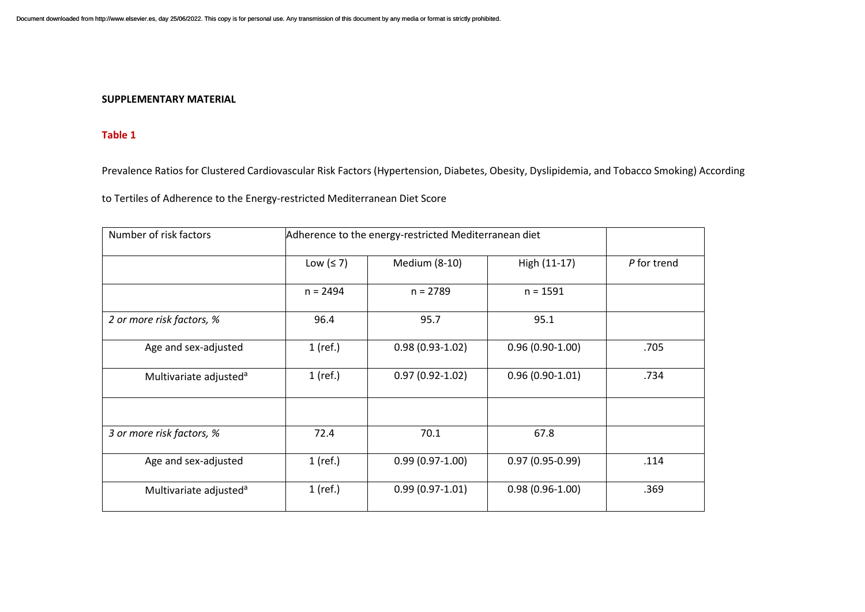#### **SUPPLEMENTARY MATERIAL**

#### **Table 1**

Prevalence Ratios for Clustered Cardiovascular Risk Factors (Hypertension, Diabetes, Obesity, Dyslipidemia, and Tobacco Smoking) According

to Tertiles of Adherence to the Energy-restricted Mediterranean Diet Score

| Number of risk factors             | Adherence to the energy-restricted Mediterranean diet |                     |                     |             |
|------------------------------------|-------------------------------------------------------|---------------------|---------------------|-------------|
|                                    | Low $(≤ 7)$                                           | Medium (8-10)       | High (11-17)        | P for trend |
|                                    | $n = 2494$                                            | $n = 2789$          | $n = 1591$          |             |
| 2 or more risk factors, %          | 96.4                                                  | 95.7                | 95.1                |             |
| Age and sex-adjusted               | $1$ (ref.)                                            | $0.98(0.93-1.02)$   | $0.96(0.90-1.00)$   | .705        |
| Multivariate adjusted <sup>a</sup> | 1 (ref.)                                              | $0.97(0.92 - 1.02)$ | $0.96(0.90-1.01)$   | .734        |
|                                    |                                                       |                     |                     |             |
| 3 or more risk factors, %          | 72.4                                                  | 70.1                | 67.8                |             |
| Age and sex-adjusted               | $1$ (ref.)                                            | $0.99(0.97-1.00)$   | $0.97(0.95 - 0.99)$ | .114        |
| Multivariate adjusted <sup>a</sup> | $1$ (ref.)                                            | $0.99(0.97-1.01)$   | $0.98(0.96-1.00)$   | .369        |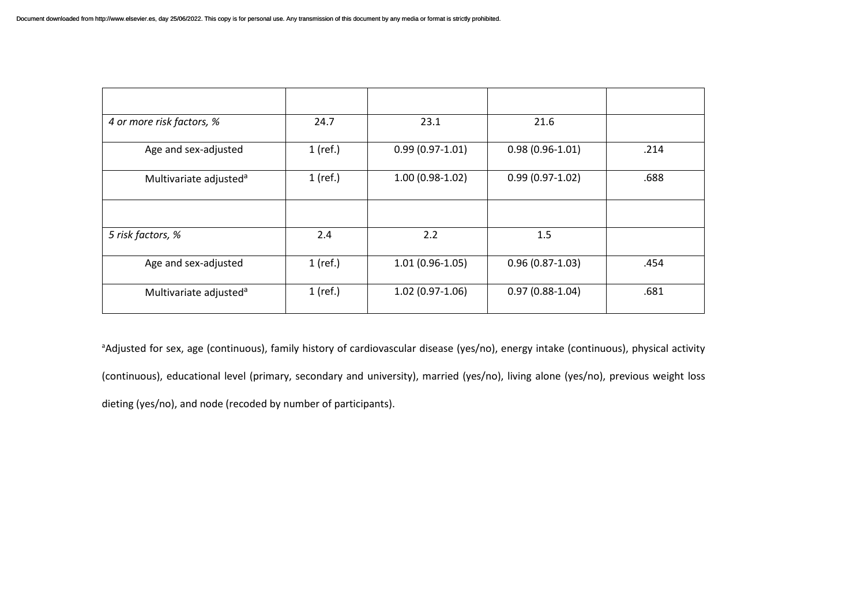| 4 or more risk factors, %          | 24.7       | 23.1              | 21.6                |      |
|------------------------------------|------------|-------------------|---------------------|------|
| Age and sex-adjusted               | $1$ (ref.) | $0.99(0.97-1.01)$ | $0.98(0.96-1.01)$   | .214 |
| Multivariate adjusted <sup>a</sup> | $1$ (ref.) | $1.00(0.98-1.02)$ | $0.99(0.97-1.02)$   | .688 |
|                                    |            |                   |                     |      |
| 5 risk factors, %                  | 2.4        | 2.2               | 1.5                 |      |
| Age and sex-adjusted               | $1$ (ref.) | $1.01(0.96-1.05)$ | $0.96(0.87 - 1.03)$ | .454 |
| Multivariate adjusted <sup>a</sup> | $1$ (ref.) | $1.02(0.97-1.06)$ | $0.97(0.88-1.04)$   | .681 |

<sup>a</sup>Adjusted for sex, age (continuous), family history of cardiovascular disease (yes/no), energy intake (continuous), physical activity (continuous), educational level (primary, secondary and university), married (yes/no), living alone (yes/no), previous weight loss dieting (yes/no), and node (recoded by number of participants).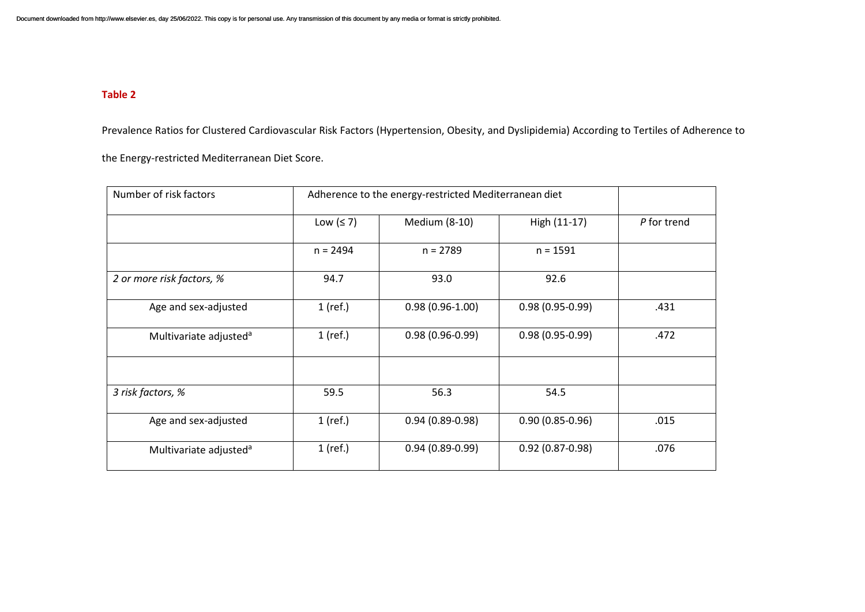# **Table 2**

Prevalence Ratios for Clustered Cardiovascular Risk Factors (Hypertension, Obesity, and Dyslipidemia) According to Tertiles of Adherence to

the Energy-restricted Mediterranean Diet Score.

| Number of risk factors             | Adherence to the energy-restricted Mediterranean diet |                     |                     |             |
|------------------------------------|-------------------------------------------------------|---------------------|---------------------|-------------|
|                                    | Low $(≤ 7)$                                           | Medium (8-10)       | High (11-17)        | P for trend |
|                                    | $n = 2494$                                            | $n = 2789$          | $n = 1591$          |             |
| 2 or more risk factors, %          | 94.7                                                  | 93.0                | 92.6                |             |
| Age and sex-adjusted               | $1$ (ref.)                                            | $0.98(0.96-1.00)$   | $0.98(0.95 - 0.99)$ | .431        |
| Multivariate adjusted <sup>a</sup> | $1$ (ref.)                                            | $0.98(0.96 - 0.99)$ | $0.98(0.95 - 0.99)$ | .472        |
|                                    |                                                       |                     |                     |             |
| 3 risk factors, %                  | 59.5                                                  | 56.3                | 54.5                |             |
| Age and sex-adjusted               | $1$ (ref.)                                            | $0.94(0.89 - 0.98)$ | $0.90(0.85 - 0.96)$ | .015        |
| Multivariate adjusted <sup>a</sup> | $1$ (ref.)                                            | $0.94(0.89-0.99)$   | $0.92(0.87 - 0.98)$ | .076        |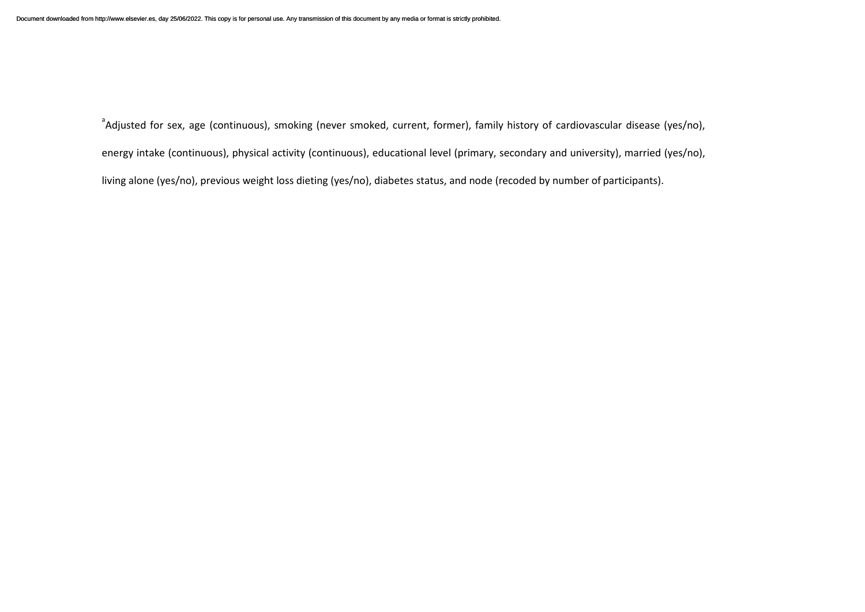<sup>a</sup>Adjusted for sex, age (continuous), smoking (never smoked, current, former), family history of cardiovascular disease (yes/no), energy intake (continuous), physical activity (continuous), educational level (primary, secondary and university), married (yes/no), living alone (yes/no), previous weight loss dieting (yes/no), diabetes status, and node (recoded by number of participants).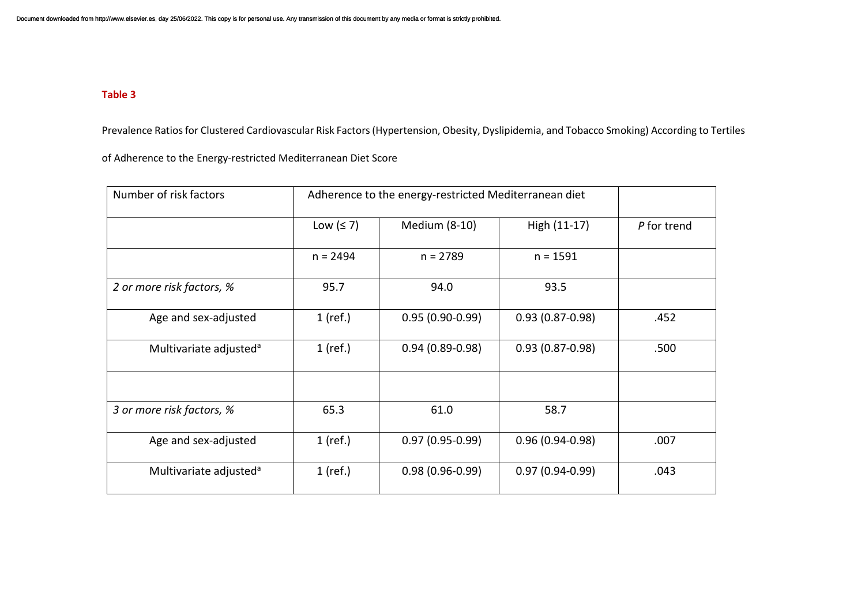### **Table 3**

Prevalence Ratios for Clustered Cardiovascular Risk Factors (Hypertension, Obesity, Dyslipidemia, and Tobacco Smoking) According to Tertiles

of Adherence to the Energy-restricted Mediterranean Diet Score

| Number of risk factors             | Adherence to the energy-restricted Mediterranean diet |                     |                     |             |
|------------------------------------|-------------------------------------------------------|---------------------|---------------------|-------------|
|                                    | Low $(≤ 7)$                                           | Medium (8-10)       | High (11-17)        | P for trend |
|                                    | $n = 2494$                                            | $n = 2789$          | $n = 1591$          |             |
| 2 or more risk factors, %          | 95.7                                                  | 94.0                | 93.5                |             |
| Age and sex-adjusted               | $1$ (ref.)                                            | $0.95(0.90-0.99)$   | $0.93(0.87 - 0.98)$ | .452        |
| Multivariate adjusted <sup>a</sup> | $1$ (ref.)                                            | $0.94(0.89 - 0.98)$ | $0.93(0.87 - 0.98)$ | .500        |
|                                    |                                                       |                     |                     |             |
| 3 or more risk factors, %          | 65.3                                                  | 61.0                | 58.7                |             |
| Age and sex-adjusted               | $1$ (ref.)                                            | $0.97(0.95 - 0.99)$ | $0.96(0.94 - 0.98)$ | .007        |
| Multivariate adjusted <sup>a</sup> | $1$ (ref.)                                            | $0.98(0.96-0.99)$   | $0.97(0.94-0.99)$   | .043        |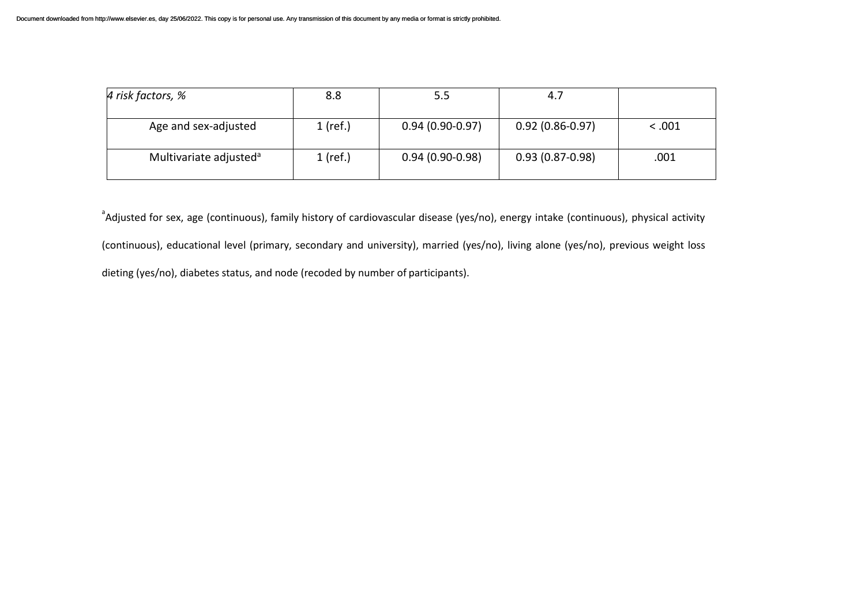| 4 risk factors, %                  | 8.8        | 5.5               | 4.7                 |        |
|------------------------------------|------------|-------------------|---------------------|--------|
| Age and sex-adjusted               | $1$ (ref.) | $0.94(0.90-0.97)$ | $0.92(0.86 - 0.97)$ | < .001 |
| Multivariate adjusted <sup>a</sup> | $1$ (ref.) | $0.94(0.90-0.98)$ | $0.93(0.87 - 0.98)$ | .001   |

<sup>a</sup>Adjusted for sex, age (continuous), family history of cardiovascular disease (yes/no), energy intake (continuous), physical activity (continuous), educational level (primary, secondary and university), married (yes/no), living alone (yes/no), previous weight loss dieting (yes/no), diabetes status, and node (recoded by number of participants).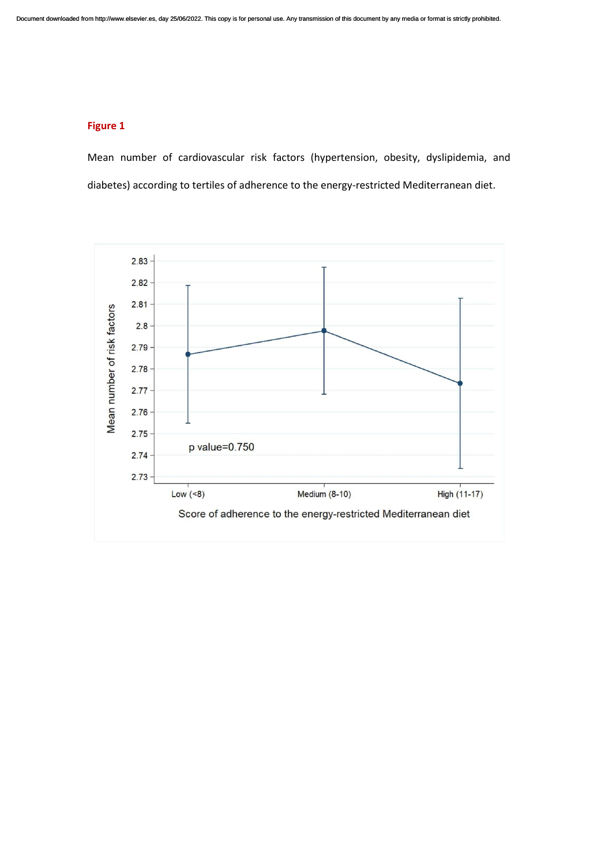## **Figure 1**

Mean number of cardiovascular risk factors (hypertension, obesity, dyslipidemia, and diabetes) according to tertiles of adherence to the energy-restricted Mediterranean diet.

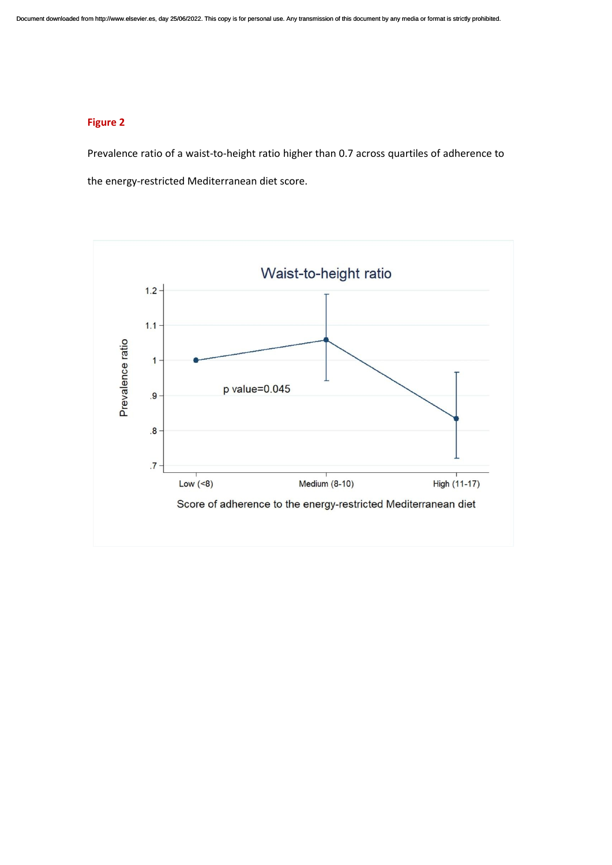## **Figure 2**

Prevalence ratio of a waist-to-height ratio higher than 0.7 across quartiles of adherence to the energy-restricted Mediterranean diet score.